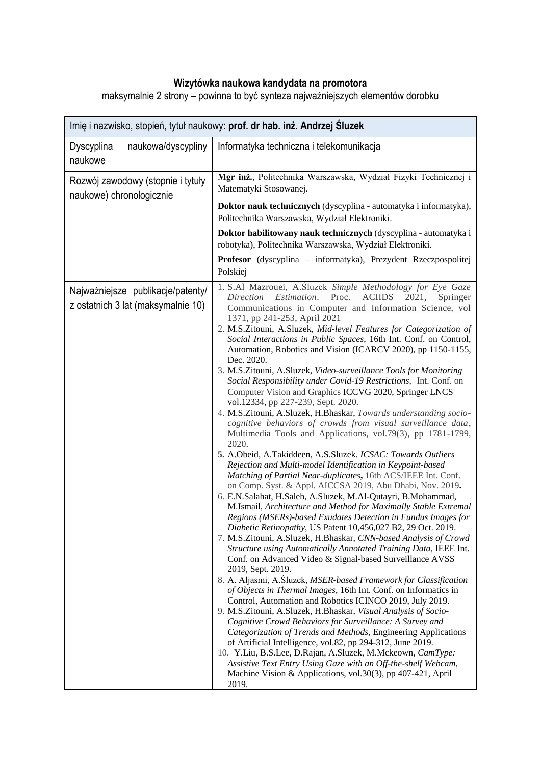## **Wizytówka naukowa kandydata na promotora**

maksymalnie 2 strony – powinna to być synteza najważniejszych elementów dorobku

| Imię i nazwisko, stopień, tytuł naukowy: prof. dr hab. inż. Andrzej Śluzek |                                                                                                                                                                                                                                                                                                                                                                                                                                                                                                                                                                                                                                                                                                                                                                                                                                                                                                                                                                                                                                                                                                                                                                                                                                                                                                                                                                                                                                                                                                                                                                                                                                                                                                                                                                                                                                                                                                                                                                                                                                                                                                                                                                                                                                                                                                                                                   |  |
|----------------------------------------------------------------------------|---------------------------------------------------------------------------------------------------------------------------------------------------------------------------------------------------------------------------------------------------------------------------------------------------------------------------------------------------------------------------------------------------------------------------------------------------------------------------------------------------------------------------------------------------------------------------------------------------------------------------------------------------------------------------------------------------------------------------------------------------------------------------------------------------------------------------------------------------------------------------------------------------------------------------------------------------------------------------------------------------------------------------------------------------------------------------------------------------------------------------------------------------------------------------------------------------------------------------------------------------------------------------------------------------------------------------------------------------------------------------------------------------------------------------------------------------------------------------------------------------------------------------------------------------------------------------------------------------------------------------------------------------------------------------------------------------------------------------------------------------------------------------------------------------------------------------------------------------------------------------------------------------------------------------------------------------------------------------------------------------------------------------------------------------------------------------------------------------------------------------------------------------------------------------------------------------------------------------------------------------------------------------------------------------------------------------------------------------|--|
| Dyscyplina<br>naukowa/dyscypliny<br>naukowe                                | Informatyka techniczna i telekomunikacja                                                                                                                                                                                                                                                                                                                                                                                                                                                                                                                                                                                                                                                                                                                                                                                                                                                                                                                                                                                                                                                                                                                                                                                                                                                                                                                                                                                                                                                                                                                                                                                                                                                                                                                                                                                                                                                                                                                                                                                                                                                                                                                                                                                                                                                                                                          |  |
| Rozwój zawodowy (stopnie i tytuły<br>naukowe) chronologicznie              | Mgr inż., Politechnika Warszawska, Wydział Fizyki Technicznej i<br>Matematyki Stosowanej.                                                                                                                                                                                                                                                                                                                                                                                                                                                                                                                                                                                                                                                                                                                                                                                                                                                                                                                                                                                                                                                                                                                                                                                                                                                                                                                                                                                                                                                                                                                                                                                                                                                                                                                                                                                                                                                                                                                                                                                                                                                                                                                                                                                                                                                         |  |
|                                                                            | Doktor nauk technicznych (dyscyplina - automatyka i informatyka),<br>Politechnika Warszawska, Wydział Elektroniki.                                                                                                                                                                                                                                                                                                                                                                                                                                                                                                                                                                                                                                                                                                                                                                                                                                                                                                                                                                                                                                                                                                                                                                                                                                                                                                                                                                                                                                                                                                                                                                                                                                                                                                                                                                                                                                                                                                                                                                                                                                                                                                                                                                                                                                |  |
|                                                                            | Doktor habilitowany nauk technicznych (dyscyplina - automatyka i<br>robotyka), Politechnika Warszawska, Wydział Elektroniki.                                                                                                                                                                                                                                                                                                                                                                                                                                                                                                                                                                                                                                                                                                                                                                                                                                                                                                                                                                                                                                                                                                                                                                                                                                                                                                                                                                                                                                                                                                                                                                                                                                                                                                                                                                                                                                                                                                                                                                                                                                                                                                                                                                                                                      |  |
|                                                                            | Profesor (dyscyplina - informatyka), Prezydent Rzeczpospolitej<br>Polskiej                                                                                                                                                                                                                                                                                                                                                                                                                                                                                                                                                                                                                                                                                                                                                                                                                                                                                                                                                                                                                                                                                                                                                                                                                                                                                                                                                                                                                                                                                                                                                                                                                                                                                                                                                                                                                                                                                                                                                                                                                                                                                                                                                                                                                                                                        |  |
| Najważniejsze publikacje/patenty/<br>z ostatnich 3 lat (maksymalnie 10)    | 1. S.Al Mazrouei, A.Sluzek Simple Methodology for Eye Gaze<br>Estimation.<br>Proc.<br>Direction<br><b>ACIIDS</b><br>2021,<br>Springer<br>Communications in Computer and Information Science, vol<br>1371, pp 241-253, April 2021<br>2. M.S.Zitouni, A.Sluzek, Mid-level Features for Categorization of<br>Social Interactions in Public Spaces, 16th Int. Conf. on Control,<br>Automation, Robotics and Vision (ICARCV 2020), pp 1150-1155,<br>Dec. 2020.<br>3. M.S.Zitouni, A.Sluzek, Video-surveillance Tools for Monitoring<br>Social Responsibility under Covid-19 Restrictions, Int. Conf. on<br>Computer Vision and Graphics ICCVG 2020, Springer LNCS<br>vol.12334, pp 227-239, Sept. 2020.<br>4. M.S.Zitouni, A.Sluzek, H.Bhaskar, Towards understanding socio-<br>cognitive behaviors of crowds from visual surveillance data,<br>Multimedia Tools and Applications, vol.79(3), pp 1781-1799,<br>2020.<br>5. A.Obeid, A.Takiddeen, A.S.Sluzek. ICSAC: Towards Outliers<br>Rejection and Multi-model Identification in Keypoint-based<br>Matching of Partial Near-duplicates, 16th ACS/IEEE Int. Conf.<br>on Comp. Syst. & Appl. AICCSA 2019, Abu Dhabi, Nov. 2019.<br>6. E.N.Salahat, H.Saleh, A.Sluzek, M.Al-Qutayri, B.Mohammad,<br>M.Ismail, Architecture and Method for Maximally Stable Extremal<br>Regions (MSERs)-based Exudates Detection in Fundus Images for<br>Diabetic Retinopathy, US Patent 10,456,027 B2, 29 Oct. 2019.<br>7. M.S.Zitouni, A.Sluzek, H.Bhaskar, CNN-based Analysis of Crowd<br>Structure using Automatically Annotated Training Data, IEEE Int.<br>Conf. on Advanced Video & Signal-based Surveillance AVSS<br>2019, Sept. 2019.<br>8. A. Aljasmi, A. Sluzek, MSER-based Framework for Classification<br>of Objects in Thermal Images, 16th Int. Conf. on Informatics in<br>Control, Automation and Robotics ICINCO 2019, July 2019.<br>9. M.S.Zitouni, A.Sluzek, H.Bhaskar, Visual Analysis of Socio-<br>Cognitive Crowd Behaviors for Surveillance: A Survey and<br>Categorization of Trends and Methods, Engineering Applications<br>of Artificial Intelligence, vol.82, pp 294-312, June 2019.<br>10. Y.Liu, B.S.Lee, D.Rajan, A.Sluzek, M.Mckeown, CamType:<br>Assistive Text Entry Using Gaze with an Off-the-shelf Webcam,<br>Machine Vision & Applications, vol.30(3), pp 407-421, April<br>2019. |  |